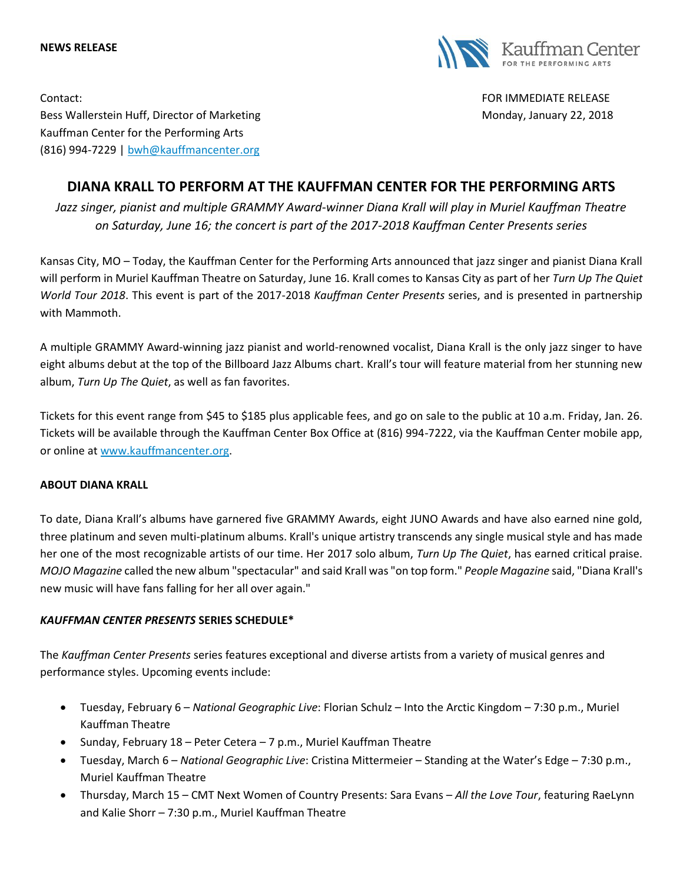



Contact: FOR IMMEDIATE RELEASE Bess Wallerstein Huff, Director of Marketing Monday, January 22, 2018 Kauffman Center for the Performing Arts (816) 994-7229 | [bwh@kauffmancenter.org](mailto:bwh@kauffmancenter.org)

## **DIANA KRALL TO PERFORM AT THE KAUFFMAN CENTER FOR THE PERFORMING ARTS**

*Jazz singer, pianist and multiple GRAMMY Award-winner Diana Krall will play in Muriel Kauffman Theatre on Saturday, June 16; the concert is part of the 2017-2018 Kauffman Center Presents series*

Kansas City, MO – Today, the Kauffman Center for the Performing Arts announced that jazz singer and pianist Diana Krall will perform in Muriel Kauffman Theatre on Saturday, June 16. Krall comes to Kansas City as part of her *Turn Up The Quiet World Tour 2018*. This event is part of the 2017-2018 *Kauffman Center Presents* series, and is presented in partnership with Mammoth.

A multiple GRAMMY Award-winning jazz pianist and world-renowned vocalist, Diana Krall is the only jazz singer to have eight albums debut at the top of the Billboard Jazz Albums chart. Krall's tour will feature material from her stunning new album, *Turn Up The Quiet*, as well as fan favorites.

Tickets for [this](http://tickets.kauffmancenter.org/single/PSDetail.aspx?psn=13816) event range from \$45 to \$185 plus applicable fees, and go on sale to the public at 10 a.m. Friday, Jan. 26. Tickets will be available through the Kauffman Center Box Office at (816) 994-7222, via the Kauffman Center mobile app, or online at [www.kauffmancenter.org.](http://www.kauffmancenter.org/)

## **ABOUT DIANA KRALL**

To date, Diana Krall's albums have garnered five GRAMMY Awards, eight JUNO Awards and have also earned nine gold, three platinum and seven multi-platinum albums. Krall's unique artistry transcends any single musical style and has made her one of the most recognizable artists of our time. Her 2017 solo album, *Turn Up The Quiet*, has earned critical praise. *MOJO Magazine* called the new album "spectacular" and said Krall was "on top form." *People Magazine* said, "Diana Krall's new music will have fans falling for her all over again."

## *KAUFFMAN CENTER PRESENTS* **SERIES SCHEDULE\***

The *Kauffman Center Presents* series features exceptional and diverse artists from a variety of musical genres and performance styles. Upcoming events include:

- Tuesday, February 6 *National Geographic Live*: Florian Schulz Into the Arctic Kingdom 7:30 p.m., Muriel Kauffman Theatre
- Sunday, February 18 Peter Cetera 7 p.m., Muriel Kauffman Theatre
- Tuesday, March 6 *National Geographic Live*: Cristina Mittermeier Standing at the Water's Edge 7:30 p.m., Muriel Kauffman Theatre
- Thursday, March 15 CMT Next Women of Country Presents: Sara Evans *All the Love Tour*, featuring RaeLynn and Kalie Shorr – 7:30 p.m., Muriel Kauffman Theatre